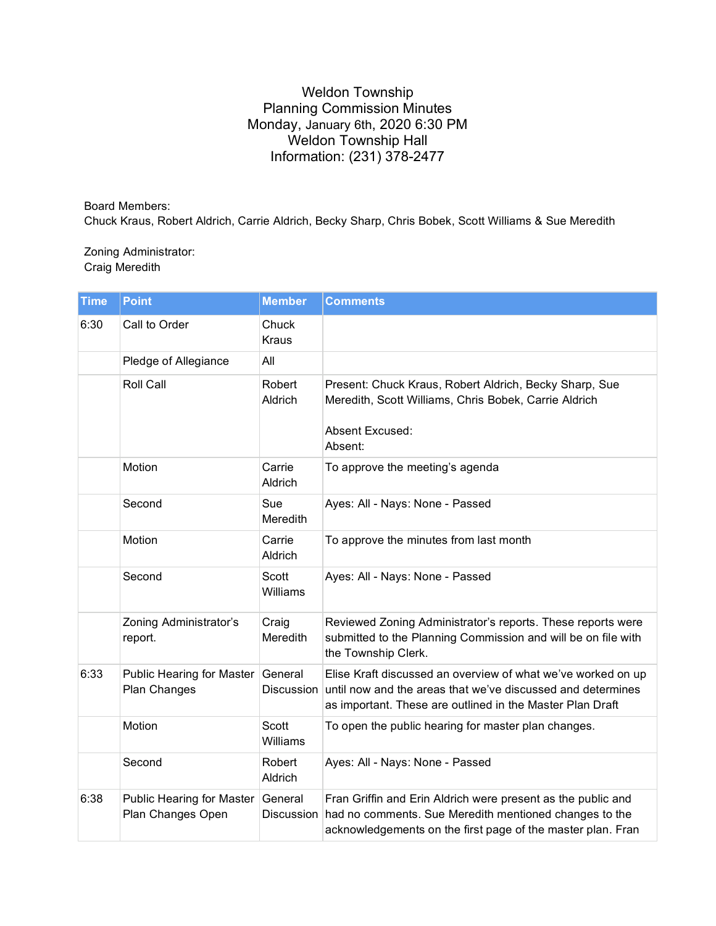## Weldon Township Planning Commission Minutes Monday, January 6th, 2020 6:30 PM Weldon Township Hall Information: (231) 378-2477

Board Members: Chuck Kraus, Robert Aldrich, Carrie Aldrich, Becky Sharp, Chris Bobek, Scott Williams & Sue Meredith

## Zoning Administrator: Craig Meredith

| <b>Time</b> | <b>Point</b>                                   | <b>Member</b>            | <b>Comments</b>                                                                                                                                                                          |
|-------------|------------------------------------------------|--------------------------|------------------------------------------------------------------------------------------------------------------------------------------------------------------------------------------|
| 6:30        | Call to Order                                  | Chuck<br><b>Kraus</b>    |                                                                                                                                                                                          |
|             | Pledge of Allegiance                           | All                      |                                                                                                                                                                                          |
|             | Roll Call                                      | Robert<br>Aldrich        | Present: Chuck Kraus, Robert Aldrich, Becky Sharp, Sue<br>Meredith, Scott Williams, Chris Bobek, Carrie Aldrich<br>Absent Excused:<br>Absent:                                            |
|             | Motion                                         | Carrie<br>Aldrich        | To approve the meeting's agenda                                                                                                                                                          |
|             | Second                                         | Sue<br>Meredith          | Ayes: All - Nays: None - Passed                                                                                                                                                          |
|             | Motion                                         | Carrie<br>Aldrich        | To approve the minutes from last month                                                                                                                                                   |
|             | Second                                         | Scott<br>Williams        | Ayes: All - Nays: None - Passed                                                                                                                                                          |
|             | Zoning Administrator's<br>report.              | Craig<br>Meredith        | Reviewed Zoning Administrator's reports. These reports were<br>submitted to the Planning Commission and will be on file with<br>the Township Clerk.                                      |
| 6:33        | Public Hearing for Master<br>Plan Changes      | General<br>Discussion    | Elise Kraft discussed an overview of what we've worked on up<br>until now and the areas that we've discussed and determines<br>as important. These are outlined in the Master Plan Draft |
|             | Motion                                         | <b>Scott</b><br>Williams | To open the public hearing for master plan changes.                                                                                                                                      |
|             | Second                                         | Robert<br>Aldrich        | Ayes: All - Nays: None - Passed                                                                                                                                                          |
| 6:38        | Public Hearing for Master<br>Plan Changes Open | General<br>Discussion    | Fran Griffin and Erin Aldrich were present as the public and<br>had no comments. Sue Meredith mentioned changes to the<br>acknowledgements on the first page of the master plan. Fran    |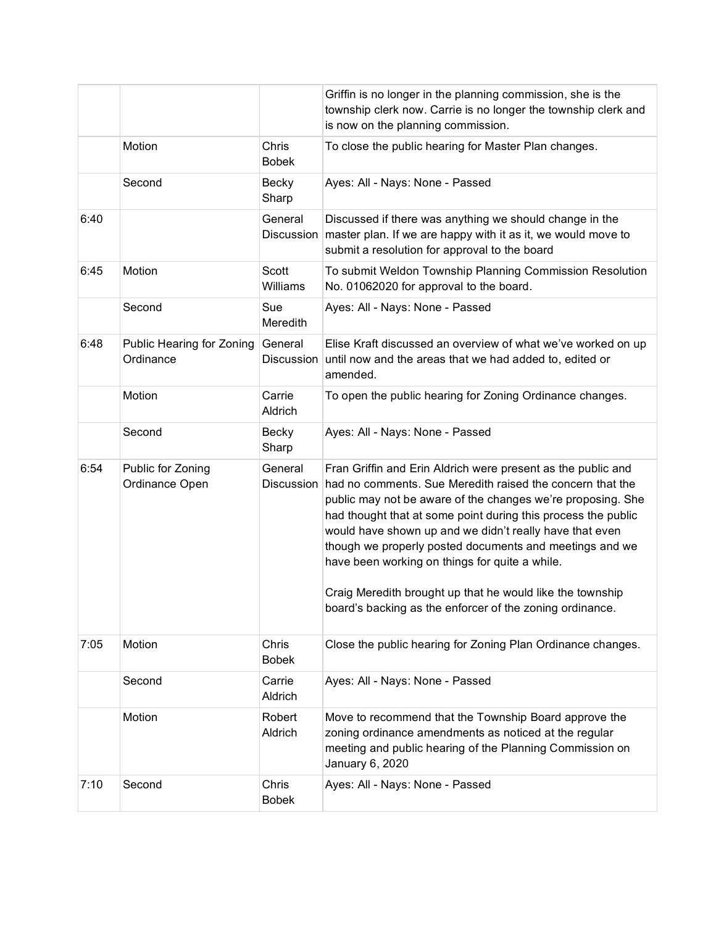|      |                                        |                          | Griffin is no longer in the planning commission, she is the<br>township clerk now. Carrie is no longer the township clerk and<br>is now on the planning commission.                                                                                                                                                                                                                                                                                                                            |
|------|----------------------------------------|--------------------------|------------------------------------------------------------------------------------------------------------------------------------------------------------------------------------------------------------------------------------------------------------------------------------------------------------------------------------------------------------------------------------------------------------------------------------------------------------------------------------------------|
|      | Motion                                 | Chris<br><b>Bobek</b>    | To close the public hearing for Master Plan changes.                                                                                                                                                                                                                                                                                                                                                                                                                                           |
|      | Second                                 | Becky<br>Sharp           | Ayes: All - Nays: None - Passed                                                                                                                                                                                                                                                                                                                                                                                                                                                                |
| 6:40 |                                        | General                  | Discussed if there was anything we should change in the<br>Discussion master plan. If we are happy with it as it, we would move to<br>submit a resolution for approval to the board                                                                                                                                                                                                                                                                                                            |
| 6:45 | Motion                                 | <b>Scott</b><br>Williams | To submit Weldon Township Planning Commission Resolution<br>No. 01062020 for approval to the board.                                                                                                                                                                                                                                                                                                                                                                                            |
|      | Second                                 | Sue<br>Meredith          | Ayes: All - Nays: None - Passed                                                                                                                                                                                                                                                                                                                                                                                                                                                                |
| 6:48 | Public Hearing for Zoning<br>Ordinance | General<br>Discussion    | Elise Kraft discussed an overview of what we've worked on up<br>until now and the areas that we had added to, edited or<br>amended.                                                                                                                                                                                                                                                                                                                                                            |
|      | Motion                                 | Carrie<br>Aldrich        | To open the public hearing for Zoning Ordinance changes.                                                                                                                                                                                                                                                                                                                                                                                                                                       |
|      | Second                                 | <b>Becky</b><br>Sharp    | Ayes: All - Nays: None - Passed                                                                                                                                                                                                                                                                                                                                                                                                                                                                |
| 6:54 | Public for Zoning<br>Ordinance Open    | General<br>Discussion    | Fran Griffin and Erin Aldrich were present as the public and<br>had no comments. Sue Meredith raised the concern that the<br>public may not be aware of the changes we're proposing. She<br>had thought that at some point during this process the public<br>would have shown up and we didn't really have that even<br>though we properly posted documents and meetings and we<br>have been working on things for quite a while.<br>Craig Meredith brought up that he would like the township |
|      |                                        |                          | board's backing as the enforcer of the zoning ordinance.                                                                                                                                                                                                                                                                                                                                                                                                                                       |
| 7:05 | Motion                                 | Chris<br><b>Bobek</b>    | Close the public hearing for Zoning Plan Ordinance changes.                                                                                                                                                                                                                                                                                                                                                                                                                                    |
|      | Second                                 | Carrie<br>Aldrich        | Ayes: All - Nays: None - Passed                                                                                                                                                                                                                                                                                                                                                                                                                                                                |
|      | Motion                                 | Robert<br>Aldrich        | Move to recommend that the Township Board approve the<br>zoning ordinance amendments as noticed at the regular<br>meeting and public hearing of the Planning Commission on<br>January 6, 2020                                                                                                                                                                                                                                                                                                  |
| 7:10 | Second                                 | Chris<br><b>Bobek</b>    | Ayes: All - Nays: None - Passed                                                                                                                                                                                                                                                                                                                                                                                                                                                                |